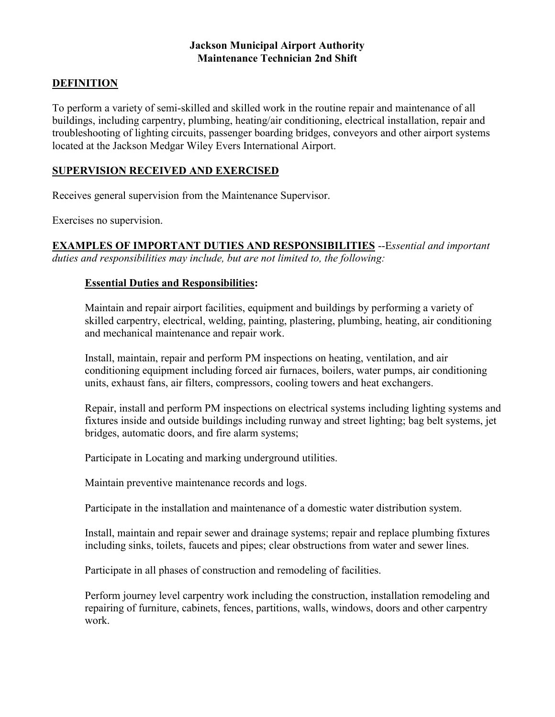## **Jackson Municipal Airport Authority Maintenance Technician 2nd Shift**

## **DEFINITION**

To perform a variety of semi-skilled and skilled work in the routine repair and maintenance of all buildings, including carpentry, plumbing, heating/air conditioning, electrical installation, repair and troubleshooting of lighting circuits, passenger boarding bridges, conveyors and other airport systems located at the Jackson Medgar Wiley Evers International Airport.

## **SUPERVISION RECEIVED AND EXERCISED**

Receives general supervision from the Maintenance Supervisor.

Exercises no supervision.

**EXAMPLES OF IMPORTANT DUTIES AND RESPONSIBILITIES** --E*ssential and important duties and responsibilities may include, but are not limited to, the following:*

## **Essential Duties and Responsibilities:**

Maintain and repair airport facilities, equipment and buildings by performing a variety of skilled carpentry, electrical, welding, painting, plastering, plumbing, heating, air conditioning and mechanical maintenance and repair work.

Install, maintain, repair and perform PM inspections on heating, ventilation, and air conditioning equipment including forced air furnaces, boilers, water pumps, air conditioning units, exhaust fans, air filters, compressors, cooling towers and heat exchangers.

Repair, install and perform PM inspections on electrical systems including lighting systems and fixtures inside and outside buildings including runway and street lighting; bag belt systems, jet bridges, automatic doors, and fire alarm systems;

Participate in Locating and marking underground utilities.

Maintain preventive maintenance records and logs.

Participate in the installation and maintenance of a domestic water distribution system.

Install, maintain and repair sewer and drainage systems; repair and replace plumbing fixtures including sinks, toilets, faucets and pipes; clear obstructions from water and sewer lines.

Participate in all phases of construction and remodeling of facilities.

Perform journey level carpentry work including the construction, installation remodeling and repairing of furniture, cabinets, fences, partitions, walls, windows, doors and other carpentry work.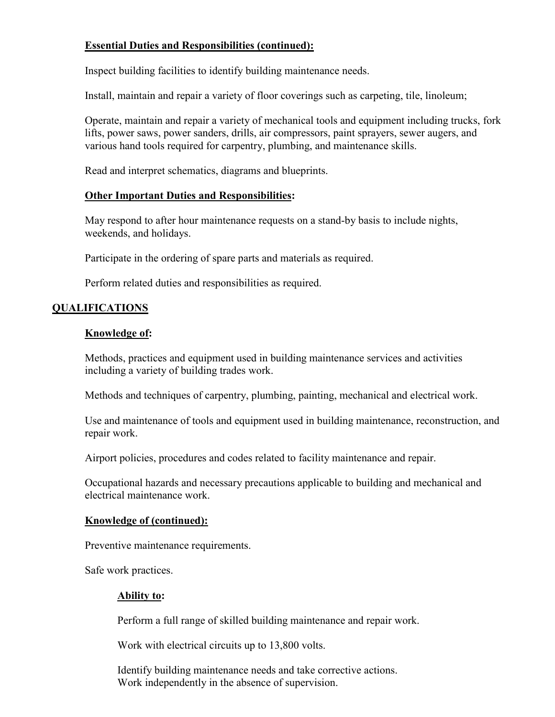## **Essential Duties and Responsibilities (continued):**

Inspect building facilities to identify building maintenance needs.

Install, maintain and repair a variety of floor coverings such as carpeting, tile, linoleum;

Operate, maintain and repair a variety of mechanical tools and equipment including trucks, fork lifts, power saws, power sanders, drills, air compressors, paint sprayers, sewer augers, and various hand tools required for carpentry, plumbing, and maintenance skills.

Read and interpret schematics, diagrams and blueprints.

## **Other Important Duties and Responsibilities:**

May respond to after hour maintenance requests on a stand-by basis to include nights, weekends, and holidays.

Participate in the ordering of spare parts and materials as required.

Perform related duties and responsibilities as required.

## **QUALIFICATIONS**

## **Knowledge of:**

Methods, practices and equipment used in building maintenance services and activities including a variety of building trades work.

Methods and techniques of carpentry, plumbing, painting, mechanical and electrical work.

Use and maintenance of tools and equipment used in building maintenance, reconstruction, and repair work.

Airport policies, procedures and codes related to facility maintenance and repair.

Occupational hazards and necessary precautions applicable to building and mechanical and electrical maintenance work.

## **Knowledge of (continued):**

Preventive maintenance requirements.

Safe work practices.

## **Ability to:**

Perform a full range of skilled building maintenance and repair work.

Work with electrical circuits up to 13,800 volts.

Identify building maintenance needs and take corrective actions. Work independently in the absence of supervision.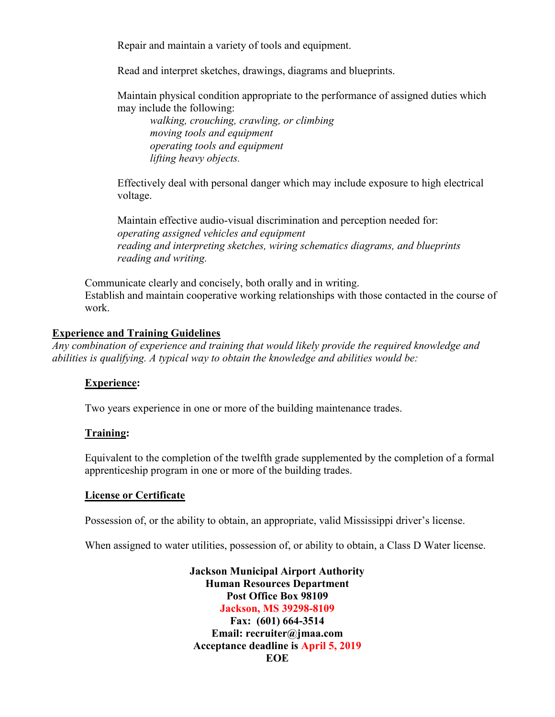Repair and maintain a variety of tools and equipment.

Read and interpret sketches, drawings, diagrams and blueprints.

Maintain physical condition appropriate to the performance of assigned duties which may include the following:

*walking, crouching, crawling, or climbing moving tools and equipment operating tools and equipment lifting heavy objects.*

Effectively deal with personal danger which may include exposure to high electrical voltage.

Maintain effective audio-visual discrimination and perception needed for: *operating assigned vehicles and equipment reading and interpreting sketches, wiring schematics diagrams, and blueprints reading and writing.*

Communicate clearly and concisely, both orally and in writing. Establish and maintain cooperative working relationships with those contacted in the course of work.

## **Experience and Training Guidelines**

*Any combination of experience and training that would likely provide the required knowledge and abilities is qualifying. A typical way to obtain the knowledge and abilities would be:*

## **Experience:**

Two years experience in one or more of the building maintenance trades.

## **Training:**

Equivalent to the completion of the twelfth grade supplemented by the completion of a formal apprenticeship program in one or more of the building trades.

## **License or Certificate**

Possession of, or the ability to obtain, an appropriate, valid Mississippi driver's license.

When assigned to water utilities, possession of, or ability to obtain, a Class D Water license.

**Jackson Municipal Airport Authority Human Resources Department Post Office Box 98109 Jackson, MS 39298-8109**

**Fax: (601) 664-3514 Email: recruiter@jmaa.com Acceptance deadline is April 5, 2019 EOE**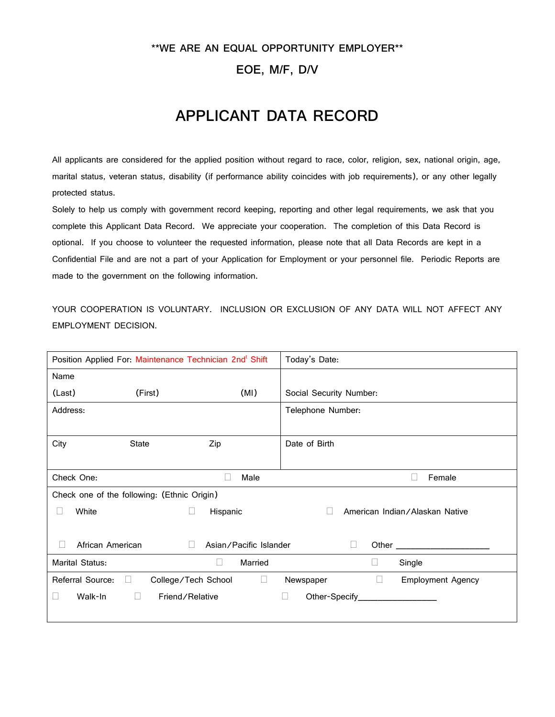## **\*\*WE ARE AN EQUAL OPPORTUNITY EMPLOYER\*\***

## **EOE, M/F, D/V**

## **APPLICANT DATA RECORD**

All applicants are considered for the applied position without regard to race, color, religion, sex, national origin, age, marital status, veteran status, disability (if performance ability coincides with job requirements), or any other legally protected status.

Solely to help us comply with government record keeping, reporting and other legal requirements, we ask that you complete this Applicant Data Record. We appreciate your cooperation. The completion of this Data Record is optional. If you choose to volunteer the requested information, please note that all Data Records are kept in a Confidential File and are not a part of your Application for Employment or your personnel file. Periodic Reports are made to the government on the following information.

YOUR COOPERATION IS VOLUNTARY. INCLUSION OR EXCLUSION OF ANY DATA WILL NOT AFFECT ANY EMPLOYMENT DECISION.

| Position Applied For: Maintenance Technician 2nd <sup>t</sup> Shift |                                  | Today's Date:                                         |  |  |  |
|---------------------------------------------------------------------|----------------------------------|-------------------------------------------------------|--|--|--|
| Name                                                                |                                  |                                                       |  |  |  |
| (Last)<br>(First)                                                   | (MI)                             | Social Security Number:                               |  |  |  |
| Address:                                                            |                                  | Telephone Number:                                     |  |  |  |
|                                                                     |                                  |                                                       |  |  |  |
| City<br><b>State</b>                                                | Zip                              | Date of Birth                                         |  |  |  |
|                                                                     |                                  |                                                       |  |  |  |
| Check One:                                                          | Male<br>$\mathbf{L}$             | Female<br>$\mathbf{L}$                                |  |  |  |
| Check one of the following: (Ethnic Origin)                         |                                  |                                                       |  |  |  |
| White                                                               | Hispanic<br>$\Box$               | American Indian/Alaskan Native<br>Н                   |  |  |  |
|                                                                     |                                  |                                                       |  |  |  |
| African American<br>Ш                                               | Asian/Pacific Islander<br>$\Box$ | $\Box$                                                |  |  |  |
| Marital Status:                                                     | Married<br>$\Box$                | Single<br>Ц                                           |  |  |  |
| Referral Source:<br>$\Box$                                          | $\Box$<br>College/Tech School    | $\mathbf{1}$<br><b>Employment Agency</b><br>Newspaper |  |  |  |
| Walk-In<br>$\Box$<br>u                                              | Friend/Relative                  | Other-Specify__________________<br>⊔                  |  |  |  |
|                                                                     |                                  |                                                       |  |  |  |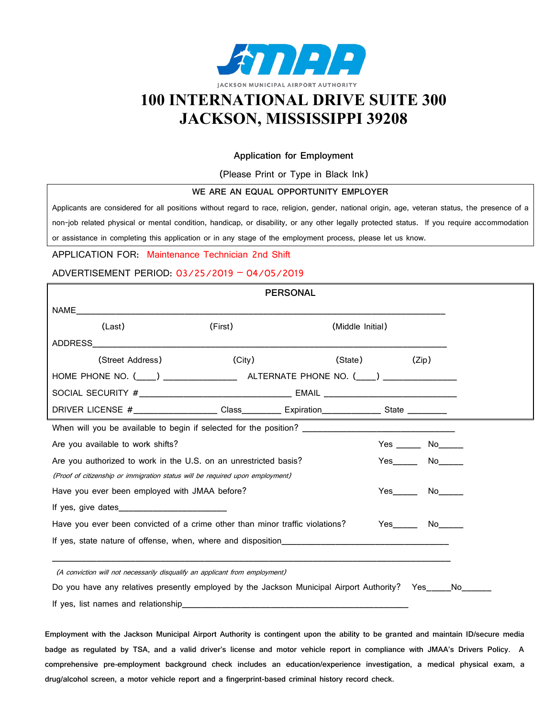

# **100 INTERNATIONAL DRIVE SUITE 300 JACKSON, MISSISSIPPI 39208**

### **Application for Employment**

(Please Print or Type in Black Ink)

### **WE ARE AN EQUAL OPPORTUNITY EMPLOYER**

Applicants are considered for all positions without regard to race, religion, gender, national origin, age, veteran status, the presence of a non-job related physical or mental condition, handicap, or disability, or any other legally protected status. If you require accommodation or assistance in completing this application or in any stage of the employment process, please let us know.

### APPLICATION FOR: Maintenance Technician 2nd Shift

### ADVERTISEMENT PERIOD: 03/25/2019 – 04/05/2019

|                                                                                                           |         | <b>PERSONAL</b>  |                                                                                                                                                                                                                                |                                   |  |
|-----------------------------------------------------------------------------------------------------------|---------|------------------|--------------------------------------------------------------------------------------------------------------------------------------------------------------------------------------------------------------------------------|-----------------------------------|--|
| NAME <b>NAME</b>                                                                                          |         |                  |                                                                                                                                                                                                                                |                                   |  |
| (Last)                                                                                                    | (First) | (Middle Initial) |                                                                                                                                                                                                                                |                                   |  |
| <b>ADDRESS</b>                                                                                            |         |                  |                                                                                                                                                                                                                                |                                   |  |
| (Street Address)                                                                                          | (City)  |                  | (State) and the state of the state of the state of the state of the state of the state of the state of the state of the state of the state of the state of the state of the state of the state of the state of the state of th | (Zip)                             |  |
|                                                                                                           |         |                  |                                                                                                                                                                                                                                |                                   |  |
|                                                                                                           |         |                  |                                                                                                                                                                                                                                |                                   |  |
| DRIVER LICENSE #___________________Class___________ Expiration________________State ___________           |         |                  |                                                                                                                                                                                                                                |                                   |  |
|                                                                                                           |         |                  |                                                                                                                                                                                                                                |                                   |  |
| Are you available to work shifts?                                                                         |         |                  |                                                                                                                                                                                                                                | $Yes \_\_\_\_\\$ No $\_\_\_\_\_\$ |  |
| Are you authorized to work in the U.S. on an unrestricted basis?                                          |         |                  |                                                                                                                                                                                                                                | Yes No                            |  |
| (Proof of citizenship or immigration status will be required upon employment)                             |         |                  |                                                                                                                                                                                                                                |                                   |  |
| Have you ever been employed with JMAA before?                                                             |         |                  |                                                                                                                                                                                                                                | $Yes$ No $\qquad$                 |  |
|                                                                                                           |         |                  |                                                                                                                                                                                                                                |                                   |  |
| Have you ever been convicted of a crime other than minor traffic violations?                              |         |                  |                                                                                                                                                                                                                                |                                   |  |
|                                                                                                           |         |                  |                                                                                                                                                                                                                                |                                   |  |
|                                                                                                           |         |                  |                                                                                                                                                                                                                                |                                   |  |
| (A conviction will not necessarily disqualify an applicant from employment)                               |         |                  |                                                                                                                                                                                                                                |                                   |  |
| Do you have any relatives presently employed by the Jackson Municipal Airport Authority? Yes_____No______ |         |                  |                                                                                                                                                                                                                                |                                   |  |

If yes, list names and relationship

**Employment with the Jackson Municipal Airport Authority is contingent upon the ability to be granted and maintain ID/secure media badge as regulated by TSA, and a valid driver's license and motor vehicle report in compliance with JMAA's Drivers Policy. A comprehensive pre-employment background check includes an education/experience investigation, a medical physical exam, a drug/alcohol screen, a motor vehicle report and a fingerprint-based criminal history record check.**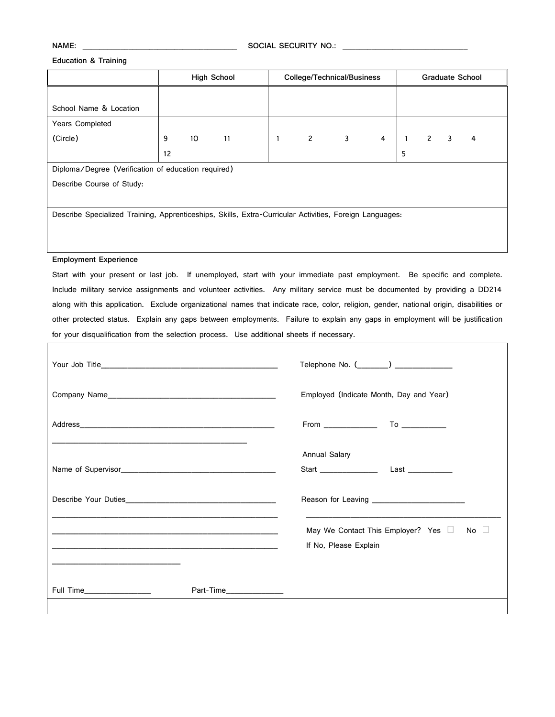**NAME: \_\_\_\_\_\_\_\_\_\_\_\_\_\_\_\_\_\_\_\_\_\_\_\_\_\_\_\_\_\_\_\_\_\_\_\_\_ SOCIAL SECURITY NO.: \_\_\_\_\_\_\_\_\_\_\_\_\_\_\_\_\_\_\_\_\_\_\_\_\_\_\_\_\_\_**

#### **Education & Training**

|                                                                                                         |    | <b>High School</b><br>College/Technical/Business |    |   | <b>Graduate School</b>         |              |                |   |             |  |   |
|---------------------------------------------------------------------------------------------------------|----|--------------------------------------------------|----|---|--------------------------------|--------------|----------------|---|-------------|--|---|
|                                                                                                         |    |                                                  |    |   |                                |              |                |   |             |  |   |
| School Name & Location                                                                                  |    |                                                  |    |   |                                |              |                |   |             |  |   |
| Years Completed                                                                                         |    |                                                  |    |   |                                |              |                |   |             |  |   |
| (Circle)                                                                                                | 9  | 10                                               | 11 | 1 | $2 \left( \frac{1}{2} \right)$ | $\mathbf{3}$ | $\overline{4}$ | 1 | $2 \quad 3$ |  | 4 |
|                                                                                                         | 12 |                                                  |    |   |                                |              |                | 5 |             |  |   |
| Diploma/Degree (Verification of education required)                                                     |    |                                                  |    |   |                                |              |                |   |             |  |   |
| Describe Course of Study:                                                                               |    |                                                  |    |   |                                |              |                |   |             |  |   |
|                                                                                                         |    |                                                  |    |   |                                |              |                |   |             |  |   |
| Describe Specialized Training, Apprenticeships, Skills, Extra-Curricular Activities, Foreign Languages: |    |                                                  |    |   |                                |              |                |   |             |  |   |
|                                                                                                         |    |                                                  |    |   |                                |              |                |   |             |  |   |
|                                                                                                         |    |                                                  |    |   |                                |              |                |   |             |  |   |

### **Employment Experience**

Start with your present or last job. If unemployed, start with your immediate past employment. Be specific and complete. Include military service assignments and volunteer activities. Any military service must be documented by providing a DD214 along with this application. Exclude organizational names that indicate race, color, religion, gender, national origin, disabilities or other protected status. Explain any gaps between employments. Failure to explain any gaps in employment will be justification for your disqualification from the selection process. Use additional sheets if necessary.

|                           |                         | Telephone No. (_______) ______________                       |                                              |  |  |
|---------------------------|-------------------------|--------------------------------------------------------------|----------------------------------------------|--|--|
|                           |                         | Employed (Indicate Month, Day and Year)                      |                                              |  |  |
|                           |                         |                                                              |                                              |  |  |
|                           |                         | <b>Annual Salary</b>                                         |                                              |  |  |
|                           |                         |                                                              | Reason for Leaving _________________________ |  |  |
|                           |                         | May We Contact This Employer? Yes U<br>If No, Please Explain | $No \Box$                                    |  |  |
| Full Time________________ | Part-Time______________ |                                                              |                                              |  |  |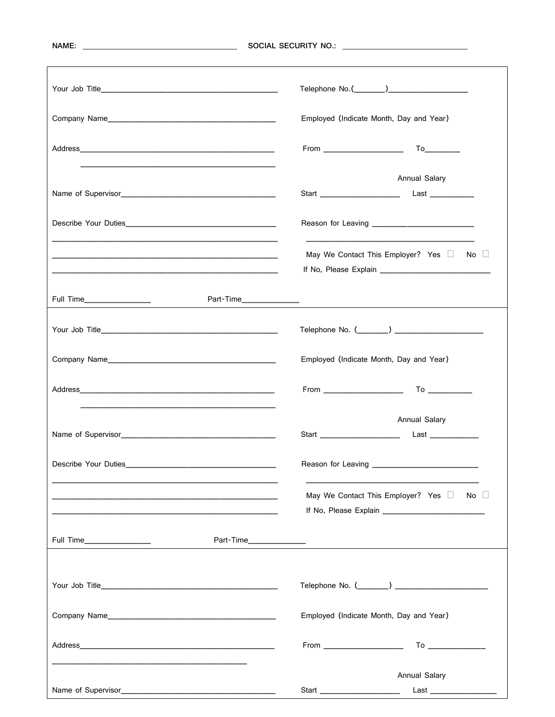|                                                                                                                                                                                                                                                                                                                                                   | Employed (Indicate Month, Day and Year)                                |  |  |  |  |
|---------------------------------------------------------------------------------------------------------------------------------------------------------------------------------------------------------------------------------------------------------------------------------------------------------------------------------------------------|------------------------------------------------------------------------|--|--|--|--|
|                                                                                                                                                                                                                                                                                                                                                   |                                                                        |  |  |  |  |
| the control of the control of the control of the control of the control of the control of                                                                                                                                                                                                                                                         | Annual Salary                                                          |  |  |  |  |
|                                                                                                                                                                                                                                                                                                                                                   |                                                                        |  |  |  |  |
| and the control of the control of the control of the control of the control of the control of the control of the<br>the control of the control of the control of the control of the control of the control of the control of the control of the control of the control of the control of the control of the control of the control of the control | No $\square$<br>May We Contact This Employer? Yes                      |  |  |  |  |
|                                                                                                                                                                                                                                                                                                                                                   |                                                                        |  |  |  |  |
|                                                                                                                                                                                                                                                                                                                                                   |                                                                        |  |  |  |  |
|                                                                                                                                                                                                                                                                                                                                                   | Employed (Indicate Month, Day and Year)                                |  |  |  |  |
|                                                                                                                                                                                                                                                                                                                                                   |                                                                        |  |  |  |  |
|                                                                                                                                                                                                                                                                                                                                                   | Annual Salary<br>Start ________________________<br>Last ______________ |  |  |  |  |
|                                                                                                                                                                                                                                                                                                                                                   |                                                                        |  |  |  |  |
| <u> 1980 - Johann John Stone, mars et al. (1980)</u>                                                                                                                                                                                                                                                                                              | May We Contact This Employer? Yes<br>$No \quad \Box$                   |  |  |  |  |
|                                                                                                                                                                                                                                                                                                                                                   |                                                                        |  |  |  |  |
|                                                                                                                                                                                                                                                                                                                                                   |                                                                        |  |  |  |  |
|                                                                                                                                                                                                                                                                                                                                                   | Employed (Indicate Month, Day and Year)                                |  |  |  |  |
|                                                                                                                                                                                                                                                                                                                                                   |                                                                        |  |  |  |  |
|                                                                                                                                                                                                                                                                                                                                                   | Annual Salary                                                          |  |  |  |  |
|                                                                                                                                                                                                                                                                                                                                                   | Last ____________________<br>Start ______________________              |  |  |  |  |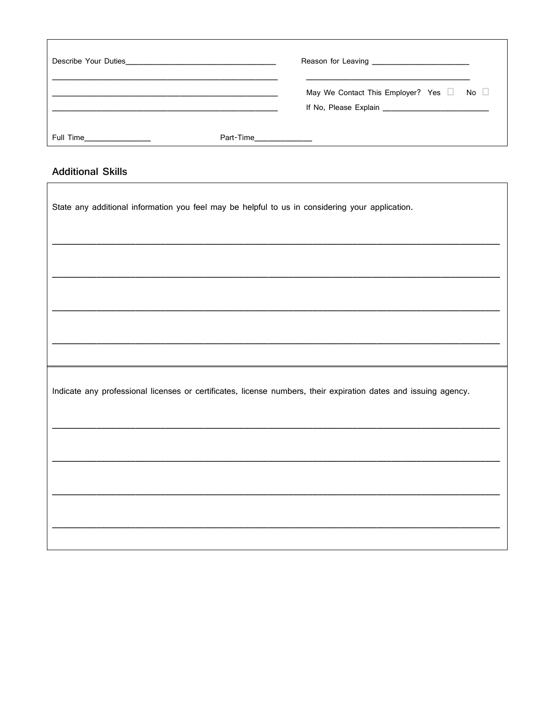|                             |           | May We Contact This Employer? Yes $\Box$ No $\Box$ |  |  |  |
|-----------------------------|-----------|----------------------------------------------------|--|--|--|
| Full Time <b>Example 20</b> | Part-Time |                                                    |  |  |  |

## **Additional Skills**

 $\Gamma$ 

| State any additional information you feel may be helpful to us in considering your application.                 |
|-----------------------------------------------------------------------------------------------------------------|
|                                                                                                                 |
|                                                                                                                 |
|                                                                                                                 |
|                                                                                                                 |
| Indicate any professional licenses or certificates, license numbers, their expiration dates and issuing agency. |
|                                                                                                                 |
|                                                                                                                 |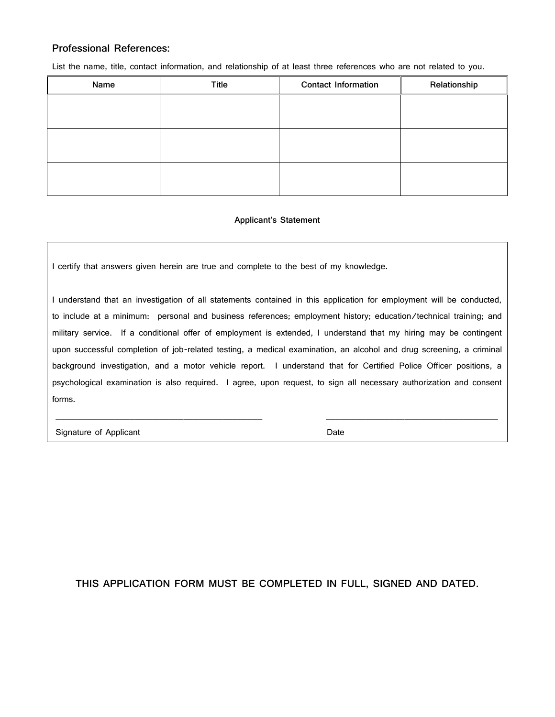### **Professional References:**

List the name, title, contact information, and relationship of at least three references who are not related to you.

| Name | <b>Title</b> | <b>Contact Information</b> | Relationship |
|------|--------------|----------------------------|--------------|
|      |              |                            |              |
|      |              |                            |              |
|      |              |                            |              |
|      |              |                            |              |
|      |              |                            |              |
|      |              |                            |              |

### **Applicant's Statement**

I certify that answers given herein are true and complete to the best of my knowledge.

I understand that an investigation of all statements contained in this application for employment will be conducted, to include at a minimum: personal and business references; employment history; education/technical training; and military service. If a conditional offer of employment is extended, I understand that my hiring may be contingent upon successful completion of job-related testing, a medical examination, an alcohol and drug screening, a criminal background investigation, and a motor vehicle report. I understand that for Certified Police Officer positions, a psychological examination is also required. I agree, upon request, to sign all necessary authorization and consent forms.

\_\_\_\_\_\_\_\_\_\_\_\_\_\_\_\_\_\_\_\_\_\_\_\_\_\_\_\_\_\_\_\_\_\_\_\_\_\_\_\_\_\_ \_\_\_\_\_\_\_\_\_\_\_\_\_\_\_\_\_\_\_\_\_\_\_\_\_\_\_\_\_\_\_\_\_\_\_

Signature of Applicant **Date** Date **Date** 

## **THIS APPLICATION FORM MUST BE COMPLETED IN FULL, SIGNED AND DATED.**